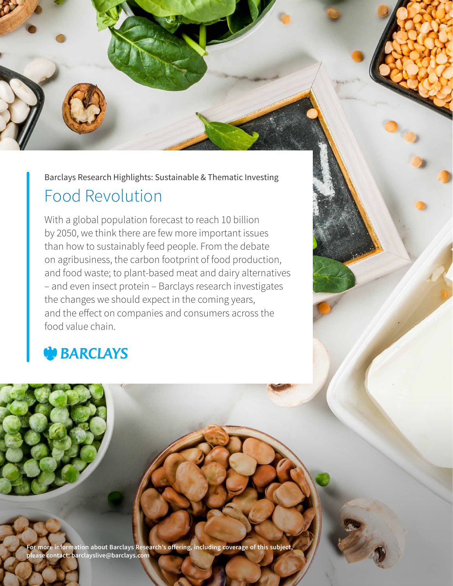

Barclays Research Highlights: Sustainable & Thematic Investing

# Food Revolution

With a global population forecast to reach 10 billion by 2050, we think there are few more important issues than how to sustainably feed people. From the debate on agribusiness, the carbon footprint of food production, and food waste; to plant-based meat and dairy alternatives – and even insect protein – Barclays research investigates the changes we should expect in the coming years, and the effect on companies and consumers across the food value chain.

# **BARCLAYS**

**For more information about Barclays Research's offering, including coverage of this subject, please contact: barclayslive@barclays.com**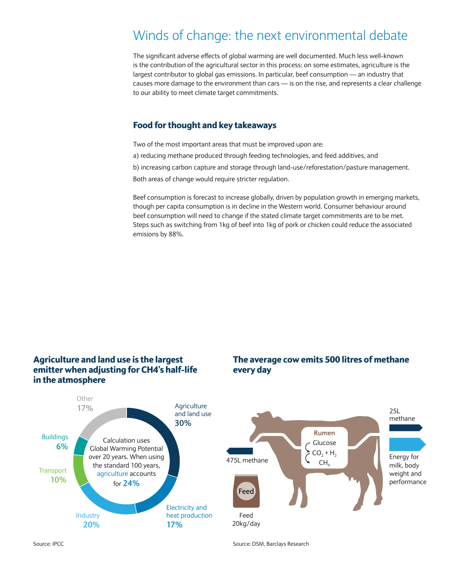# Winds of change: the next environmental debate

The significant adverse effects of global warming are well documented. Much less well-known is the contribution of the agricultural sector in this process: on some estimates, agriculture is the largest contributor to global gas emissions. In particular, beef consumption — an industry that causes more damage to the environment than cars — is on the rise, and represents a clear challenge to our ability to meet climate target commitments.

### Food for thought and key takeaways

Two of the most important areas that must be improved upon are:

a) reducing methane produced through feeding technologies, and feed additives, and

b) increasing carbon capture and storage through land-use/reforestation/pasture management.

Both areas of change would require stricter regulation.

Beef consumption is forecast to increase globally, driven by population growth in emerging markets, though per capita consumption is in decline in the Western world. Consumer behaviour around beef consumption will need to change if the stated climate target commitments are to be met. Steps such as switching from 1kg of beef into 1kg of pork or chicken could reduce the associated emisions by 88%.



Source: IPCC Source: IPCC Source: IPCC Source: DSM, Barclays Research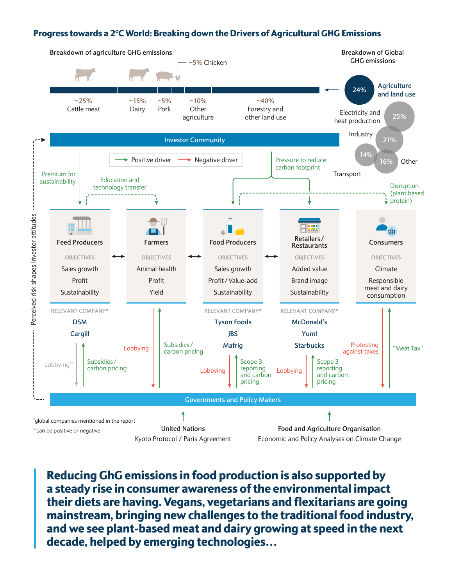### Progress towards a 2°C World: Breaking down the Drivers of Agricultural GHG Emissions



Reducing GhG emissions in food production is also supported by a steady rise in consumer awareness of the environmental impact their diets are having. Vegans, vegetarians and flexitarians are going mainstream, bringing new challenges to the traditional food industry, and we see plant-based meat and dairy growing at speed in the next decade, helped by emerging technologies…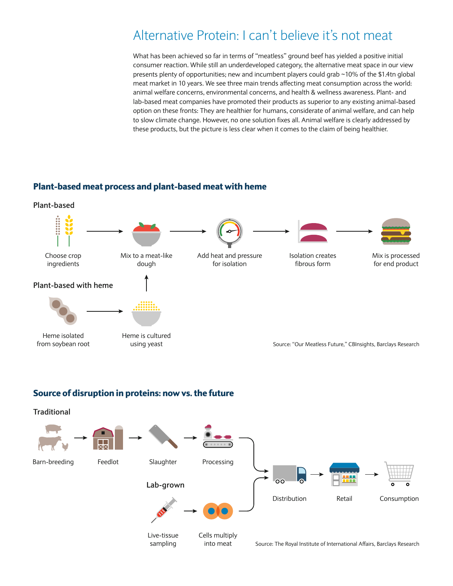## Alternative Protein: I can't believe it's not meat

What has been achieved so far in terms of "meatless" ground beef has yielded a positive initial consumer reaction. While still an underdeveloped category, the alternative meat space in our view presents plenty of opportunities; new and incumbent players could grab ~10% of the \$1.4tn global meat market in 10 years. We see three main trends affecting meat consumption across the world: animal welfare concerns, environmental concerns, and health & wellness awareness. Plant- and lab-based meat companies have promoted their products as superior to any existing animal-based option on these fronts: They are healthier for humans, considerate of animal welfare, and can help to slow climate change. However, no one solution fixes all. Animal welfare is clearly addressed by these products, but the picture is less clear when it comes to the claim of being healthier.

### Plant-based meat process and plant-based meat with heme



### Source of disruption in proteins: now vs. the future

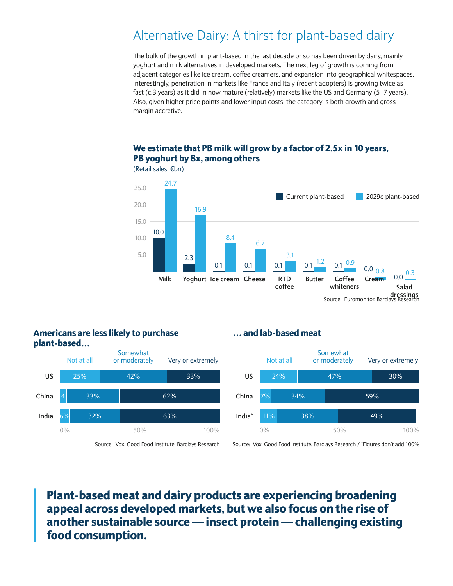# Alternative Dairy: A thirst for plant-based dairy

The bulk of the growth in plant-based in the last decade or so has been driven by dairy, mainly yoghurt and milk alternatives in developed markets. The next leg of growth is coming from adjacent categories like ice cream, coffee creamers, and expansion into geographical whitespaces. Interestingly, penetration in markets like France and Italy (recent adopters) is growing twice as fast (c.3 years) as it did in now mature (relatively) markets like the US and Germany (5–7 years). Also, given higher price points and lower input costs, the category is both growth and gross margin accretive.

### We estimate that PB milk will grow by a factor of 2.5x in 10 years, PB yoghurt by 8x, among others



(Retail sales, €bn)

### Americans are less likely to purchase plant-based…

Not at all **US China India\*** 0% 50% 100% Not at all Somewhat or moderately Very or extremely **US China India** 25% 42% 33% 4 33% 62% 6% 32% 63%

… and lab-based meat



Source: Vox, Good Food Institute, Barclays Research Source: Vox, Good Food Institute, Barclays Research / 'Figures don't add 100%

Plant-based meat and dairy products are experiencing broadening appeal across developed markets, but we also focus on the rise of another sustainable source — insect protein — challenging existing food consumption.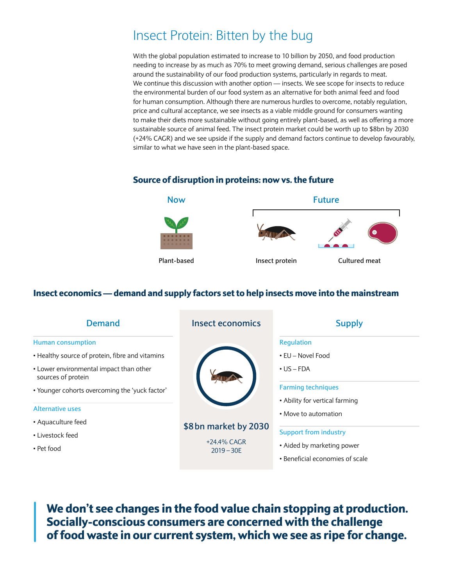# Insect Protein: Bitten by the bug

With the global population estimated to increase to 10 billion by 2050, and food production needing to increase by as much as 70% to meet growing demand, serious challenges are posed around the sustainability of our food production systems, particularly in regards to meat. We continue this discussion with another option — insects. We see scope for insects to reduce the environmental burden of our food system as an alternative for both animal feed and food for human consumption. Although there are numerous hurdles to overcome, notably regulation, price and cultural acceptance, we see insects as a viable middle ground for consumers wanting to make their diets more sustainable without going entirely plant-based, as well as offering a more sustainable source of animal feed. The insect protein market could be worth up to \$8bn by 2030 (+24% CAGR) and we see upside if the supply and demand factors continue to develop favourably, similar to what we have seen in the plant-based space.

### Source of disruption in proteins: now vs. the future



### Insect economics — demand and supply factors set to help insects move into the mainstream

| <b>Demand</b>                                                                                                                                                                                  | <b>Insect economics</b>                              | <b>Supply</b>                                                                           |
|------------------------------------------------------------------------------------------------------------------------------------------------------------------------------------------------|------------------------------------------------------|-----------------------------------------------------------------------------------------|
| <b>Human consumption</b><br>• Healthy source of protein, fibre and vitamins<br>• Lower environmental impact than other<br>sources of protein<br>• Younger cohorts overcoming the 'yuck factor' | \$8 bn market by 2030<br>+24.4% CAGR<br>$2019 - 30E$ | <b>Regulation</b><br>• EU – Novel Food<br>$\cdot$ US – FDA<br><b>Farming techniques</b> |
| <b>Alternative uses</b><br>• Aquaculture feed                                                                                                                                                  |                                                      | • Ability for vertical farming<br>• Move to automation<br><b>Support from industry</b>  |
| • Livestock feed<br>• Pet food                                                                                                                                                                 |                                                      | • Aided by marketing power<br>• Beneficial economies of scale                           |

We don't see changes in the food value chain stopping at production. Socially-conscious consumers are concerned with the challenge of food waste in our current system, which we see as ripe for change.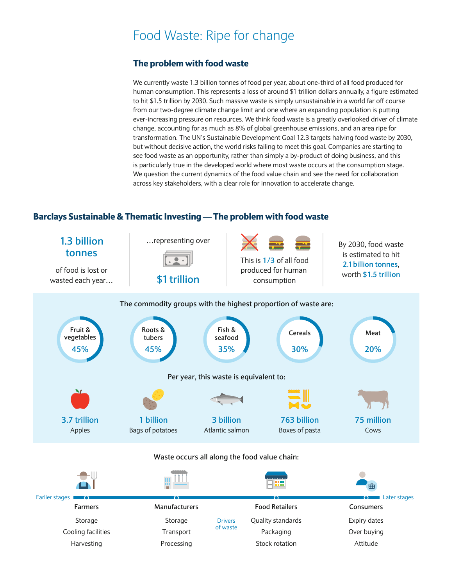## Food Waste: Ripe for change

### The problem with food waste

We currently waste 1.3 billion tonnes of food per year, about one-third of all food produced for human consumption. This represents a loss of around \$1 trillion dollars annually, a figure estimated to hit \$1.5 trillion by 2030. Such massive waste is simply unsustainable in a world far off course from our two-degree climate change limit and one where an expanding population is putting ever-increasing pressure on resources. We think food waste is a greatly overlooked driver of climate change, accounting for as much as 8% of global greenhouse emissions, and an area ripe for transformation. The UN's Sustainable Development Goal 12.3 targets halving food waste by 2030, but without decisive action, the world risks failing to meet this goal. Companies are starting to see food waste as an opportunity, rather than simply a by-product of doing business, and this is particularly true in the developed world where most waste occurs at the consumption stage. We question the current dynamics of the food value chain and see the need for collaboration across key stakeholders, with a clear role for innovation to accelerate change.

### Barclays Sustainable & Thematic Investing — The problem with food waste